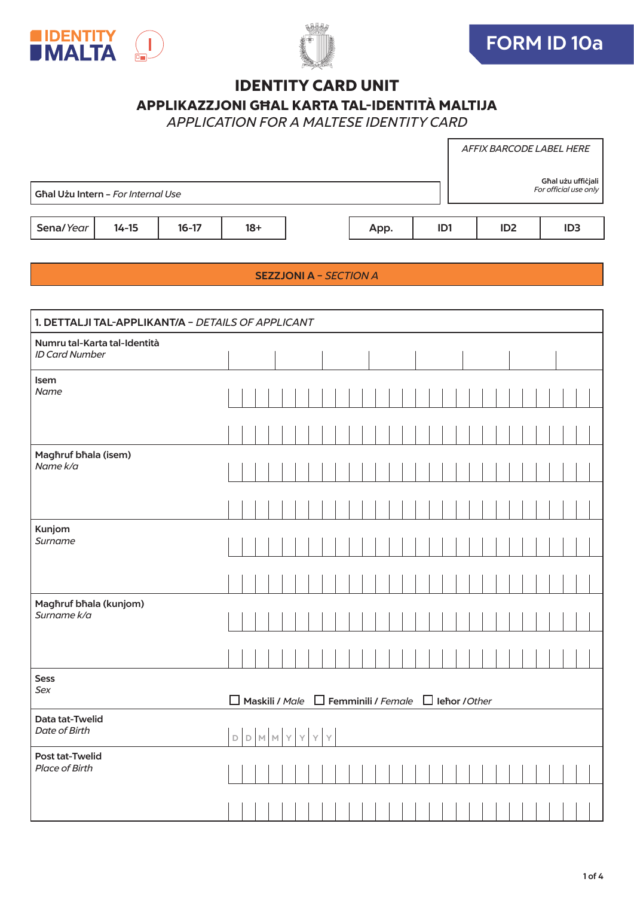



# IDENTITY CARD UNIT

# APPLIKAZZJONI GĦAL KARTA TAL‑IDENTITÀ MALTIJA

*APPLICATION FOR A MALTESE IDENTITY CARD*

|                                    |           |           |       |      |     | <b>AFFIX BARCODE LABEL HERE</b> |                                             |
|------------------------------------|-----------|-----------|-------|------|-----|---------------------------------|---------------------------------------------|
| Ghal Użu Intern - For Internal Use |           |           |       |      |     |                                 | Għal użu ufficjali<br>For official use only |
|                                    |           |           |       |      |     |                                 |                                             |
| Sena/Year                          | $14 - 15$ | $16 - 17$ | $18+$ | App. | ID1 | ID <sub>2</sub>                 | ID <sub>3</sub>                             |

SEZZJONI A – *SECTION A*

| 1. DETTALJI TAL-APPLIKANT/A - DETAILS OF APPLICANT    |         |              |   |                       |   |   |              |  |  |                                                |  |  |  |  |  |  |  |  |
|-------------------------------------------------------|---------|--------------|---|-----------------------|---|---|--------------|--|--|------------------------------------------------|--|--|--|--|--|--|--|--|
| Numru tal-Karta tal-Identità<br><b>ID Card Number</b> |         |              |   |                       |   |   |              |  |  |                                                |  |  |  |  |  |  |  |  |
| Isem<br>Name                                          |         |              |   |                       |   |   |              |  |  |                                                |  |  |  |  |  |  |  |  |
|                                                       |         |              |   |                       |   |   |              |  |  |                                                |  |  |  |  |  |  |  |  |
| Maghruf bhala (isem)<br>Name k/a                      |         |              |   |                       |   |   |              |  |  |                                                |  |  |  |  |  |  |  |  |
|                                                       |         |              |   |                       |   |   |              |  |  |                                                |  |  |  |  |  |  |  |  |
| Kunjom<br>Surname                                     |         |              |   |                       |   |   |              |  |  |                                                |  |  |  |  |  |  |  |  |
|                                                       |         |              |   |                       |   |   |              |  |  |                                                |  |  |  |  |  |  |  |  |
| Magħruf bħala (kunjom)<br>Surname k/a                 |         |              |   |                       |   |   |              |  |  |                                                |  |  |  |  |  |  |  |  |
|                                                       |         |              |   |                       |   |   |              |  |  |                                                |  |  |  |  |  |  |  |  |
| <b>Sess</b><br>Sex                                    |         |              |   | $\Box$ Maskili / Male |   |   |              |  |  | $\Box$ Femminili / Female $\Box$ lehor / Other |  |  |  |  |  |  |  |  |
| Data tat-Twelid<br>Date of Birth                      | $D$ $D$ | $\mathsf{M}$ | M | $\bar{Y}$             | Y | Y | $\mathsf{Y}$ |  |  |                                                |  |  |  |  |  |  |  |  |
| <b>Post tat-Twelid</b><br><b>Place of Birth</b>       |         |              |   |                       |   |   |              |  |  |                                                |  |  |  |  |  |  |  |  |
|                                                       |         |              |   |                       |   |   |              |  |  |                                                |  |  |  |  |  |  |  |  |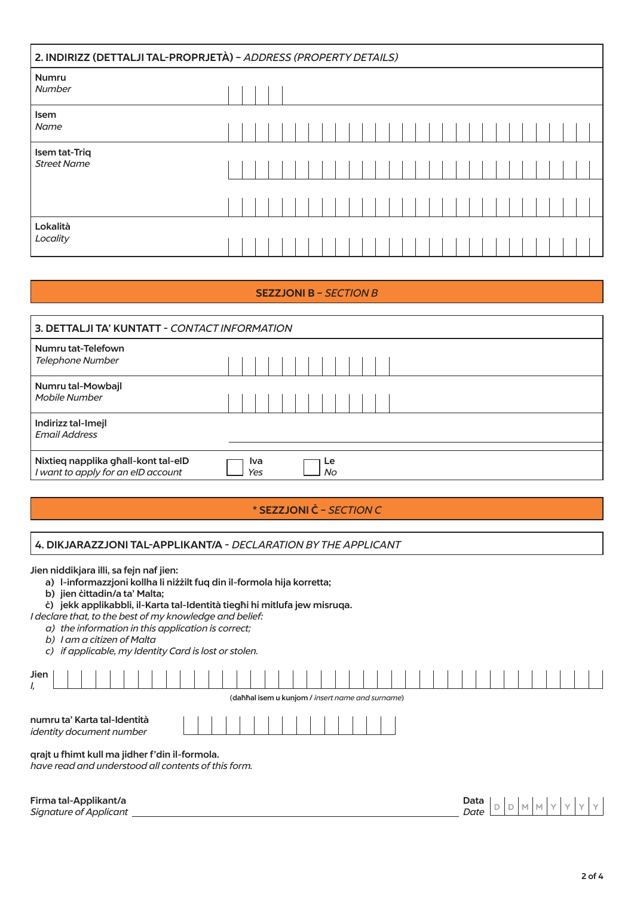| 2. INDIRIZZ (DETTALJI TAL-PROPRJETÀ) - ADDRESS (PROPERTY DETAILS) |  |  |  |  |  |  |  |  |  |  |  |  |  |  |
|-------------------------------------------------------------------|--|--|--|--|--|--|--|--|--|--|--|--|--|--|
| Numru<br>Number                                                   |  |  |  |  |  |  |  |  |  |  |  |  |  |  |
| Isem<br>Name                                                      |  |  |  |  |  |  |  |  |  |  |  |  |  |  |
| Isem tat-Triq<br><b>Street Name</b>                               |  |  |  |  |  |  |  |  |  |  |  |  |  |  |
|                                                                   |  |  |  |  |  |  |  |  |  |  |  |  |  |  |
| Lokalità<br>Locality                                              |  |  |  |  |  |  |  |  |  |  |  |  |  |  |

# SEZZJONI B – *SECTION B*

| 3. DETTALJI TA' KUNTATT - CONTACT INFORMATION                             |                        |
|---------------------------------------------------------------------------|------------------------|
| Numru tat-Telefown<br>Telephone Number                                    |                        |
| Numru tal-Mowbajl<br>Mobile Number                                        |                        |
| Indirizz tal-Imejl<br><b>Email Address</b>                                |                        |
| Nixtieq napplika ghall-kont tal-eID<br>I want to apply for an eID account | Iva<br>Le<br>Yes<br>No |

# \* SEZZJONI Ċ – *SECTION C*

# 4. DIKJARAZZJONI TAL‑APPLIKANT/A ‑ *DECLARATION BY THE APPLICANT*

Jien niddikjara illi, sa fejn naf jien:

- a) l-informazzjoni kollha li niżżilt fuq din il-formola hija korretta;
- b) jien cittadin/a ta' Malta;

# ċ) jekk applikabbli, il‑Karta tal‑Identità tiegħi hi mitlufa jew misruqa.

*I declare that, to the best of my knowledge and belief:*

*a) the information in this application is correct;*

- *b) I am a citizen of Malta*
- *c) if applicable, my Identity Card is lost or stolen.*

| Jien                                                            |                                                  |  |
|-----------------------------------------------------------------|--------------------------------------------------|--|
|                                                                 | (dahhal isem u kunjom / insert name and surname) |  |
| numru ta' Karta tal-Identità<br><i>identity document number</i> |                                                  |  |

# qrajt u fhimt kull ma jidher f'din il‑formola.

*have read and understood all contents of this form.*

**Signature of Applicant** 

Firma tal-Applikant/a Data  $\boxed{D \mid D \mid M \mid Y \mid Y \mid Y}$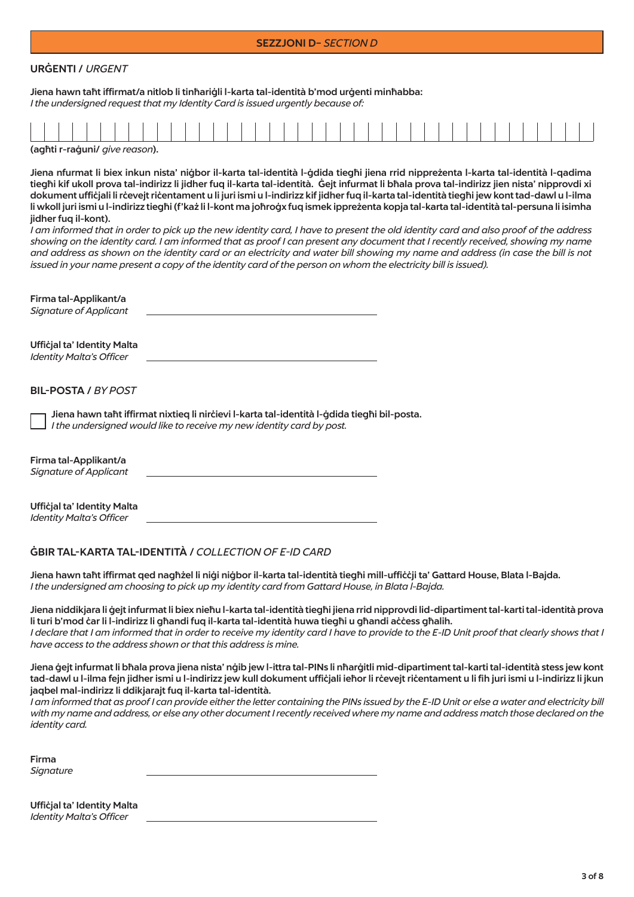| <b>SEZZJONI D- SECTION D</b>                                                                                                                                                                                                                                                                                                                                                                                                                                                                                                                                                                                                                                                                                                                                                                                                                                                                                                                                                                                                                                                                                                           |
|----------------------------------------------------------------------------------------------------------------------------------------------------------------------------------------------------------------------------------------------------------------------------------------------------------------------------------------------------------------------------------------------------------------------------------------------------------------------------------------------------------------------------------------------------------------------------------------------------------------------------------------------------------------------------------------------------------------------------------------------------------------------------------------------------------------------------------------------------------------------------------------------------------------------------------------------------------------------------------------------------------------------------------------------------------------------------------------------------------------------------------------|
| <b>URGENTI / URGENT</b>                                                                                                                                                                                                                                                                                                                                                                                                                                                                                                                                                                                                                                                                                                                                                                                                                                                                                                                                                                                                                                                                                                                |
| Jiena hawn taht iffirmat/a nitlob li tinhariġli l-karta tal-identità b'mod urġenti minhabba:<br>I the undersigned request that my Identity Card is issued urgently because of:                                                                                                                                                                                                                                                                                                                                                                                                                                                                                                                                                                                                                                                                                                                                                                                                                                                                                                                                                         |
| (aghti r-raguni/ give reason).                                                                                                                                                                                                                                                                                                                                                                                                                                                                                                                                                                                                                                                                                                                                                                                                                                                                                                                                                                                                                                                                                                         |
| Jiena nfurmat li biex inkun nista' niģbor il-karta tal-identità l-ģdida tiegħi jiena rrid nippreżenta l-karta tal-identità l-qadima<br>tiegħi kif ukoll prova tal-indirizz li jidher fuq il-karta tal-identità. Gejt infurmat li bħala prova tal-indirizz jien nista' nipprovdi xi<br>dokument ufficjali li rcevejt ricentament u li juri ismi u l-indirizz kif jidher fuq il-karta tal-identità tiegħi jew kont tad-dawl u l-ilma<br>li wkoll juri ismi u l-indirizz tiegħi (f'każ li l-kont ma joħroġx fuq ismek ippreżenta kopja tal-karta tal-identità tal-persuna li isimha<br>jidher fuq il-kont).<br>I am informed that in order to pick up the new identity card, I have to present the old identity card and also proof of the address<br>showing on the identity card. I am informed that as proof I can present any document that I recently received, showing my name<br>and address as shown on the identity card or an electricity and water bill showing my name and address (in case the bill is not<br>issued in your name present a copy of the identity card of the person on whom the electricity bill is issued). |
| Firma tal-Applikant/a<br><b>Signature of Applicant</b>                                                                                                                                                                                                                                                                                                                                                                                                                                                                                                                                                                                                                                                                                                                                                                                                                                                                                                                                                                                                                                                                                 |
| Ufficjal ta' Identity Malta<br><b>Identity Malta's Officer</b>                                                                                                                                                                                                                                                                                                                                                                                                                                                                                                                                                                                                                                                                                                                                                                                                                                                                                                                                                                                                                                                                         |
| <b>BIL-POSTA / BY POST</b>                                                                                                                                                                                                                                                                                                                                                                                                                                                                                                                                                                                                                                                                                                                                                                                                                                                                                                                                                                                                                                                                                                             |
| Jiena hawn taht iffirmat nixtieq li nircievi l-karta tal-identità l-gdida tieghi bil-posta.<br>I the undersigned would like to receive my new identity card by post.                                                                                                                                                                                                                                                                                                                                                                                                                                                                                                                                                                                                                                                                                                                                                                                                                                                                                                                                                                   |
| Firma tal-Applikant/a<br><b>Signature of Applicant</b>                                                                                                                                                                                                                                                                                                                                                                                                                                                                                                                                                                                                                                                                                                                                                                                                                                                                                                                                                                                                                                                                                 |
| Ufficjal ta' Identity Malta<br><b>Identity Malta's Officer</b>                                                                                                                                                                                                                                                                                                                                                                                                                                                                                                                                                                                                                                                                                                                                                                                                                                                                                                                                                                                                                                                                         |

# ĠBIR TAL‑KARTA TAL‑IDENTITÀ / *COLLECTION OF E‑ID CARD*

Jiena hawn taħt iffirmat qed nagħżel li niġi niġbor il‑karta tal‑identità tiegħi mill‑uffiċċji ta' Gattard House, Blata l‑Bajda. *I the undersigned am choosing to pick up my identity card from Gattard House, in Blata l‑Bajda.*

Jiena niddikjara li ġejt infurmat li biex nieħu l‑karta tal‑identità tiegħi jiena rrid nipprovdi lid‑dipartiment tal‑karti tal‑identità prova li turi b'mod ċar li l‑indirizz li għandi fuq il‑karta tal‑identità huwa tiegħi u għandi aċċess għalih. *I declare that I am informed that in order to receive my identity card I have to provide to the E‑ID Unit proof that clearly shows that I have access to the address shown or that this address is mine.*

Jiena ġejt infurmat li bħala prova jiena nista' nġib jew l‑ittra tal‑PINs li nħarġitli mid‑dipartiment tal‑karti tal‑identità stess jew kont tad-dawl u l-ilma fejn jidher ismi u l-indirizz jew kull dokument uffiċjali ieħor li rċevejt riċentament u li fih juri ismi u l-indirizz li jkun jaqbel mal-indirizz li ddikjarajt fuq il-karta tal-identità.

I am informed that as proof I can provide either the letter containing the PINs issued by the E-ID Unit or else a water and electricity bill *with my name and address, or else any other document I recently received where my name and address match those declared on the identity card.*

Firma *Signature*

Uffiċjal ta' Identity Malta *Identity Malta's Officer*